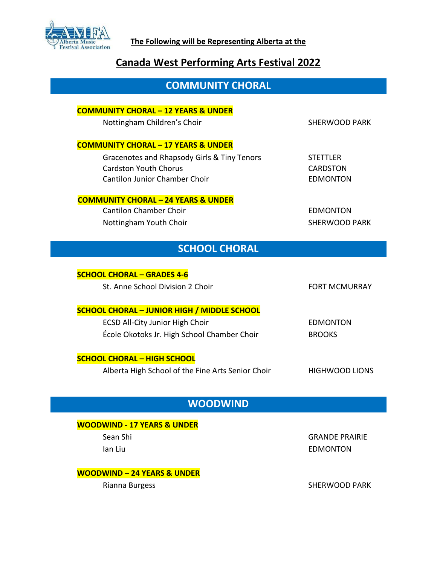

# **Canada West Performing Arts Festival 2022**

# **COMMUNITY CHORAL**

## **COMMUNITY CHORAL – 12 YEARS & UNDER**

Nottingham Children's Choir SHERWOOD PARK

## **COMMUNITY CHORAL – 17 YEARS & UNDER**

Gracenotes and Rhapsody Girls & Tiny Tenors STETTLER Cardston Youth Chorus **CARDSTON** Cantilon Junior Chamber Choir EDMONTON

## **COMMUNITY CHORAL – 24 YEARS & UNDER**

Cantilon Chamber Choir **EDMONTON** Nottingham Youth Choir SHERWOOD PARK

# **SCHOOL CHORAL**

| <b>SCHOOL CHORAL - GRADES 4-6</b>                  |                      |
|----------------------------------------------------|----------------------|
| St. Anne School Division 2 Choir                   | <b>FORT MCMURRAY</b> |
|                                                    |                      |
| <b>SCHOOL CHORAL - JUNIOR HIGH / MIDDLE SCHOOL</b> |                      |
| <b>ECSD All-City Junior High Choir</b>             | EDMONTON             |
| École Okotoks Jr. High School Chamber Choir        | <b>BROOKS</b>        |
|                                                    |                      |
| <b>SCHOOL CHORAL - HIGH SCHOOL</b>                 |                      |
| Alberta High School of the Fine Arts Senior Choir  | HIGHWOOD LIONS       |

# **WOODWIND**

## **WOODWIND - 17 YEARS & UNDER**

Sean Shi GRANDE PRAIRIE Ian Liu EDMONTON

## **WOODWIND – 24 YEARS & UNDER**

Rianna Burgess SHERWOOD PARK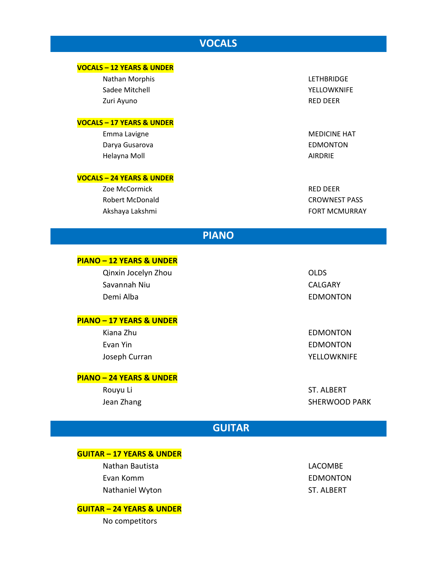# **VOCALS**

## **VOCALS – 12 YEARS & UNDER**

Nathan Morphis LETHBRIDGE Sadee Mitchell **YELLOWKNIFE** Zuri Ayuno RED DEER

### **VOCALS – 17 YEARS & UNDER**

Emma Lavigne MEDICINE HAT Darya Gusarova **EDMONTON** Helayna Moll **AIRDRIE** 

### **VOCALS – 24 YEARS & UNDER**

Zoe McCormick **RED DEER** Robert McDonald **CROWNEST PASS** 

Akshaya Lakshmi **Akshaya Lakshmi** The Controller Controller EQRT MCMURRAY

## **PIANO**

### **PIANO – 12 YEARS & UNDER**

Qinxin Jocelyn Zhou OLDS Savannah Niu CALGARY Demi Alba **EDMONTON** 

### **PIANO – 17 YEARS & UNDER**

Kiana Zhu **EDMONTON** Evan Yin EDMONTON Joseph Curran National Accounts of the Material Section 1999 and Material Material Section 1999 and Material M

## **PIANO – 24 YEARS & UNDER**

Rouyu Li ST. ALBERT Jean Zhang SHERWOOD PARK

# **GUITAR**

## **GUITAR – 17 YEARS & UNDER**

Nathan Bautista **LACOMBE** Evan Komm EDMONTON Nathaniel Wyton ST. ALBERT

### **GUITAR – 24 YEARS & UNDER**

No competitors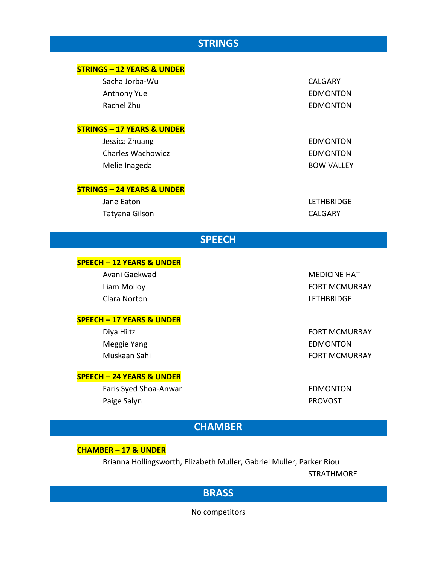# **STRINGS**

| <b>STRINGS - 12 YEARS &amp; UNDER</b> |                     |
|---------------------------------------|---------------------|
| Sacha Jorba-Wu                        | <b>CALGARY</b>      |
| <b>Anthony Yue</b>                    | <b>EDMONTON</b>     |
| Rachel Zhu                            | <b>EDMONTON</b>     |
| <b>STRINGS - 17 YEARS &amp; UNDER</b> |                     |
| Jessica Zhuang                        | <b>EDMONTON</b>     |
| <b>Charles Wachowicz</b>              | <b>EDMONTON</b>     |
| Melie Inageda                         | <b>BOW VALLEY</b>   |
| <b>STRINGS - 24 YEARS &amp; UNDER</b> |                     |
| Jane Eaton                            | <b>LETHBRIDGE</b>   |
| Tatyana Gilson                        | <b>CALGARY</b>      |
| <b>SPEECH</b>                         |                     |
| <b>SPEECH - 12 YEARS &amp; UNDER</b>  |                     |
| Avani Gaekwad                         | <b>MEDICINE HAT</b> |

Clara Norton LETHBRIDGE

## **SPEECH – 17 YEARS & UNDER**

Meggie Yang **EDMONTON** 

## **SPEECH – 24 YEARS & UNDER**

Faris Syed Shoa-Anwar **EDMONTON** Paige Salyn **PROVOST** 

Liam Molloy FORT MCMURRAY

Diya Hiltz **FORT MCMURRAY** Muskaan Sahi **FORT MCMURRAY** 

# **CHAMBER**

## **CHAMBER – 17 & UNDER**

Brianna Hollingsworth, Elizabeth Muller, Gabriel Muller, Parker Riou

STRATHMORE

# **BRASS**

No competitors